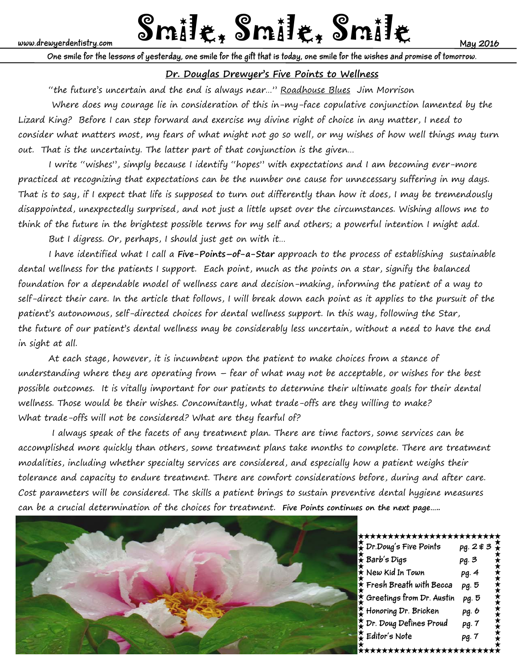# www.drewyerdentistry.com **Smille, Smille, Smille, Smille**

**One smile for the lessons of yesterday, one smile for the gift that is today, one smile for the wishes and promise of tomorrow.**

# **Dr. Douglas Drewyer's Five Points to Wellness**

"the future's uncertain and the end is always near..." Roadhouse Blues Jim Morrison

 Where does my courage lie in consideration of this in-my-face copulative conjunction lamented by the Lizard King? Before I can step forward and exercise my divine right of choice in any matter, I need to consider what matters most, my fears of what might not go so well, or my wishes of how well things may turn out. That is the uncertainty. The latter part of that conjunction is the given…

 I write "wishes", simply because I identify "hopes" with expectations and I am becoming ever-more practiced at recognizing that expectations can be the number one cause for unnecessary suffering in my days. That is to say, if I expect that life is supposed to turn out differently than how it does, I may be tremendously disappointed, unexpectedly surprised, and not just a little upset over the circumstances. Wishing allows me to think of the future in the brightest possible terms for my self and others; a powerful intention I might add.

But I digress. Or, perhaps, I should just get on with it…

 I have identified what I call a **Five-Points–of-a-Star** approach to the process of establishing sustainable dental wellness for the patients I support. Each point, much as the points on a star, signify the balanced foundation for a dependable model of wellness care and decision-making, informing the patient of a way to self-direct their care. In the article that follows, I will break down each point as it applies to the pursuit of the patient's autonomous, self-directed choices for dental wellness support. In this way, following the Star, the future of our patient's dental wellness may be considerably less uncertain, without a need to have the end in sight at all.

 At each stage, however, it is incumbent upon the patient to make choices from a stance of understanding where they are operating from – fear of what may not be acceptable, or wishes for the best possible outcomes. It is vitally important for our patients to determine their ultimate goals for their dental wellness. Those would be their wishes. Concomitantly, what trade-offs are they willing to make? What trade-offs will not be considered? What are they fearful of?

 I always speak of the facets of any treatment plan. There are time factors, some services can be accomplished more quickly than others, some treatment plans take months to complete. There are treatment modalities, including whether specialty services are considered, and especially how a patient weighs their tolerance and capacity to endure treatment. There are comfort considerations before, during and after care. Cost parameters will be considered. The skills a patient brings to sustain preventive dental hygiene measures can be a crucial determination of the choices for treatment. **Five Points continues on the next page…..**



#### \*\*\*\*\*\*\*\*\*\*\*\*\*\*\*\*\*\*\*\*\*\*\*\*\*

| , Dr.Doug's Five Points             |       |  |
|-------------------------------------|-------|--|
| $\ddot{\star}$ Barb's Digs          | pg. 3 |  |
| $\frac{1}{\lambda}$ New Kid In Town | pg. 4 |  |
| $\star$ Fresh Breath with Becca     | pg. 5 |  |
| $\star$ Greetings from Dr. Austin   | pg. 5 |  |
| Honoring Dr. Bricken                | pg. b |  |
| ₿ Dr. Doug Defines Proud            | pg. 7 |  |
| $\sum_{k}$ Editor's Note            | pg. 7 |  |
|                                     |       |  |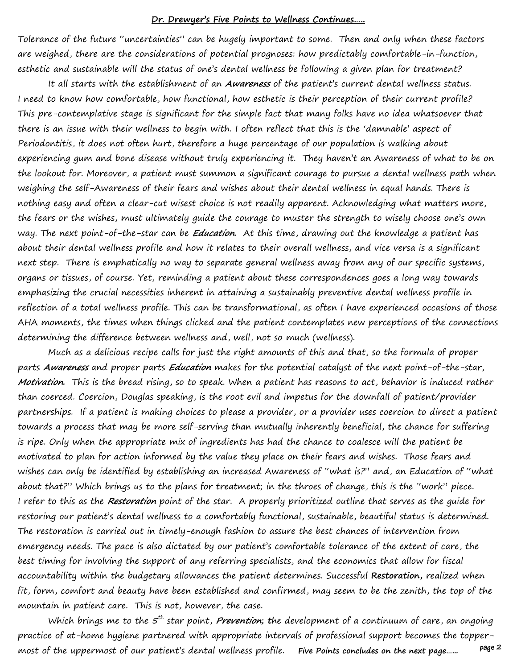#### **Dr. Drewyer's Five Points to Wellness Continues…..**

Tolerance of the future "uncertainties" can be hugely important to some. Then and only when these factors are weighed, there are the considerations of potential prognoses: how predictably comfortable-in-function, esthetic and sustainable will the status of one's dental wellness be following a given plan for treatment?

 It all starts with the establishment of an **Awareness** of the patient's current dental wellness status. I need to know how comfortable, how functional, how esthetic is their perception of their current profile? This pre-contemplative stage is significant for the simple fact that many folks have no idea whatsoever that there is an issue with their wellness to begin with. I often reflect that this is the 'damnable' aspect of Periodontitis, it does not often hurt, therefore a huge percentage of our population is walking about experiencing gum and bone disease without truly experiencing it. They haven't an Awareness of what to be on the lookout for. Moreover, a patient must summon a significant courage to pursue a dental wellness path when weighing the self-Awareness of their fears and wishes about their dental wellness in equal hands. There is nothing easy and often a clear-cut wisest choice is not readily apparent. Acknowledging what matters more, the fears or the wishes, must ultimately guide the courage to muster the strength to wisely choose one's own way. The next point-of-the-star can be **Education.** At this time, drawing out the knowledge a patient has about their dental wellness profile and how it relates to their overall wellness, and vice versa is a significant next step. There is emphatically no way to separate general wellness away from any of our specific systems, organs or tissues, of course. Yet, reminding a patient about these correspondences goes a long way towards emphasizing the crucial necessities inherent in attaining a sustainably preventive dental wellness profile in reflection of a total wellness profile. This can be transformational, as often I have experienced occasions of those AHA moments, the times when things clicked and the patient contemplates new perceptions of the connections determining the difference between wellness and, well, not so much (wellness).

 Much as a delicious recipe calls for just the right amounts of this and that, so the formula of proper parts **Awareness** and proper parts **Education** makes for the potential catalyst of the next point-of-the-star, **Motivation.** This is the bread rising, so to speak. When a patient has reasons to act, behavior is induced rather than coerced. Coercion, Douglas speaking, is the root evil and impetus for the downfall of patient/provider partnerships. If a patient is making choices to please a provider, or a provider uses coercion to direct a patient towards a process that may be more self-serving than mutually inherently beneficial, the chance for suffering is ripe. Only when the appropriate mix of ingredients has had the chance to coalesce will the patient be motivated to plan for action informed by the value they place on their fears and wishes. Those fears and wishes can only be identified by establishing an increased Awareness of "what is?" and, an Education of "what about that?" Which brings us to the plans for treatment; in the throes of change, this is the "work" piece. I refer to this as the **Restoration** point of the star. A properly prioritized outline that serves as the guide for restoring our patient's dental wellness to a comfortably functional, sustainable, beautiful status is determined. The restoration is carried out in timely-enough fashion to assure the best chances of intervention from emergency needs. The pace is also dictated by our patient's comfortable tolerance of the extent of care, the best timing for involving the support of any referring specialists, and the economics that allow for fiscal accountability within the budgetary allowances the patient determines. Successful **Restoration,** realized when fit, form, comfort and beauty have been established and confirmed, may seem to be the zenith, the top of the mountain in patient care. This is not, however, the case.

 **page 2**  Which brings me to the 5<sup>th</sup> star point, *Prevention*; the development of a continuum of care, an ongoing practice of at-home hygiene partnered with appropriate intervals of professional support becomes the toppermost of the uppermost of our patient's dental wellness profile. **Five Points concludes on the next page…...**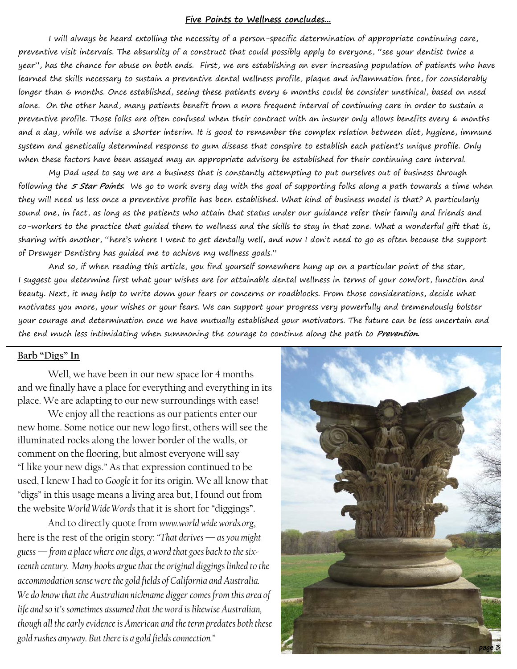#### **Five Points to Wellness concludes...**

I will always be heard extolling the necessity of a person-specific determination of appropriate continuing care, preventive visit intervals. The absurdity of a construct that could possibly apply to everyone, "see your dentist twice a year", has the chance for abuse on both ends. First, we are establishing an ever increasing population of patients who have learned the skills necessary to sustain a preventive dental wellness profile, plaque and inflammation free, for considerably longer than 6 months. Once established, seeing these patients every 6 months could be consider unethical, based on need alone. On the other hand, many patients benefit from a more frequent interval of continuing care in order to sustain a preventive profile. Those folks are often confused when their contract with an insurer only allows benefits every 6 months and a day, while we advise a shorter interim. It is good to remember the complex relation between diet, hygiene, immune system and genetically determined response to gum disease that conspire to establish each patient's unique profile. Only when these factors have been assayed may an appropriate advisory be established for their continuing care interval.

 My Dad used to say we are a business that is constantly attempting to put ourselves out of business through following the **5 Star Points.** We go to work every day with the goal of supporting folks along a path towards a time when they will need us less once a preventive profile has been established. What kind of business model is that? A particularly sound one, in fact, as long as the patients who attain that status under our guidance refer their family and friends and co-workers to the practice that guided them to wellness and the skills to stay in that zone. What a wonderful gift that is, sharing with another, "here's where I went to get dentally well, and now I don't need to go as often because the support of Drewyer Dentistry has guided me to achieve my wellness goals."

 And so, if when reading this article, you find yourself somewhere hung up on a particular point of the star, I suggest you determine first what your wishes are for attainable dental wellness in terms of your comfort, function and beauty. Next, it may help to write down your fears or concerns or roadblocks. From those considerations, decide what motivates you more, your wishes or your fears. We can support your progress very powerfully and tremendously bolster your courage and determination once we have mutually established your motivators. The future can be less uncertain and the end much less intimidating when summoning the courage to continue along the path to **Prevention.**

#### **Barb "Digs" In**

Well, we have been in our new space for 4 months and we finally have a place for everything and everything in its place. We are adapting to our new surroundings with ease!

 We enjoy all the reactions as our patients enter our new home. Some notice our new logo first, others will see the illuminated rocks along the lower border of the walls, or comment on the flooring, but almost everyone will say "I like your new digs." As that expression continued to be used, I knew I had to *Google* it for its origin. We all know that "digs" in this usage means a living area but, I found out from the website *World Wide Words* that it is short for "diggings".

 And to directly quote from *www.world wide words.org*, here is the rest of the origin story: *"That derives — as you might guess — from a place where one digs, a word that goes back to the sixteenth century. Many books argue that the original diggings linked to the accommodation sense were the gold fields of California and Australia. We do know that the Australian nickname digger comes from this area of life and so it's sometimes assumed that the word is likewise Australian, though all the early evidence is American and the term predates both these gold rushes anyway. But there is a gold fields connection."*

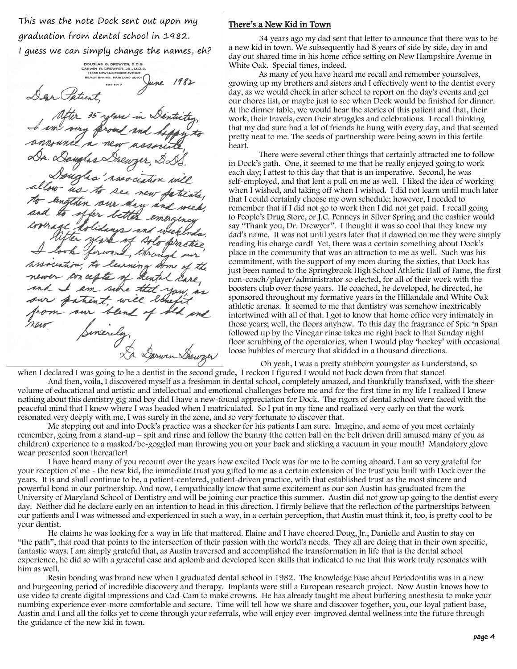This was the note Dock sent out upon my graduation from dental school in 1982.

I guess we can simply change the names, eh?

DOUGLAS G. DREWYER, D.D.S.<br>DARWIN R. DREWYER, JR., D.D.<br>11000 NEW HAMPSHIRE AVENUE BILVER SPRING, MARYLAND 209  $593-1017$ new n, to an ces am side the strent, will blen Sarwin Shewyer

#### There's a New Kid in Town

 34 years ago my dad sent that letter to announce that there was to be a new kid in town. We subsequently had 8 years of side by side, day in and day out shared time in his home office setting on New Hampshire Avenue in White Oak. Special times, indeed.

 As many of you have heard me recall and remember yourselves, growing up my brothers and sisters and I effectively went to the dentist every day, as we would check in after school to report on the day's events and get our chores list, or maybe just to see when Dock would be finished for dinner. At the dinner table, we would hear the stories of this patient and that, their work, their travels, even their struggles and celebrations. I recall thinking that my dad sure had a lot of friends he hung with every day, and that seemed pretty neat to me. The seeds of partnership were being sown in this fertile heart.

 There were several other things that certainly attracted me to follow in Dock's path. One, it seemed to me that he really enjoyed going to work each day; I attest to this day that that is an imperative. Second, he was self-employed, and that lent a pull on me as well. I liked the idea of working when I wished, and taking off when I wished. I did not learn until much later that I could certainly choose my own schedule; however, I needed to remember that if I did not go to work then I did not get paid. I recall going to People's Drug Store, or J.C. Penneys in Silver Spring and the cashier would say "Thank you, Dr. Drewyer". I thought it was so cool that they knew my dad's name. It was not until years later that it dawned on me they were simply reading his charge card! Yet, there was a certain something about Dock's place in the community that was an attraction to me as well. Such was his commitment, with the support of my mom during the sixties, that Dock has just been named to the Springbrook High School Athletic Hall of Fame, the first non-coach/player/administrator so elected, for all of their work with the boosters club over those years. He coached, he developed, he directed, he sponsored throughout my formative years in the Hillandale and White Oak athletic arenas. It seemed to me that dentistry was somehow inextricably intertwined with all of that. I got to know that home office very intimately in those years; well, the floors anyhow. To this day the fragrance of Spic 'n Span followed up by the Vinegar rinse takes me right back to that Sunday night floor scrubbing of the operatories, when I would play 'hockey' with occasional loose bubbles of mercury that skidded in a thousand directions.

 Oh yeah, I was a pretty stubborn youngster as I understand, so when I declared I was going to be a dentist in the second grade, I reckon I figured I would not back down from that stance!

 And then, voila, I discovered myself as a freshman in dental school, completely amazed, and thankfully transfixed, with the sheer volume of educational and artistic and intellectual and emotional challenges before me and for the first time in my life I realized I knew nothing about this dentistry gig and boy did I have a new-found appreciation for Dock. The rigors of dental school were faced with the peaceful mind that I knew where I was headed when I matriculated. So I put in my time and realized very early on that the work resonated very deeply with me, I was surely in the zone, and so very fortunate to discover that.

 Me stepping out and into Dock's practice was a shocker for his patients I am sure. Imagine, and some of you most certainly remember, going from a stand-up – spit and rinse and follow the bunny (the cotton ball on the belt driven drill amused many of you as children) experience to a masked/be-goggled man throwing you on your back and sticking a vacuum in your mouth! Mandatory glove wear presented soon thereafter!

 I have heard many of you recount over the years how excited Dock was for me to be coming aboard. I am so very grateful for your reception of me - the new kid, the immediate trust you gifted to me as a certain extension of the trust you built with Dock over the years. It is and shall continue to be, a patient-centered, patient-driven practice, with that established trust as the most sincere and powerful bond in our partnership. And now, I empathically know that same excitement as our son Austin has graduated from the University of Maryland School of Dentistry and will be joining our practice this summer. Austin did not grow up going to the dentist every day. Neither did he declare early on an intention to head in this direction. I firmly believe that the reflection of the partnerships between our patients and I was witnessed and experienced in such a way, in a certain perception, that Austin must think it, too, is pretty cool to be your dentist.

 He claims he was looking for a way in life that mattered. Elaine and I have cheered Doug, Jr., Danielle and Austin to stay on "the path", that road that points to the intersection of their passion with the world's needs. They all are doing that in their own specific, fantastic ways. I am simply grateful that, as Austin traversed and accomplished the transformation in life that is the dental school experience, he did so with a graceful ease and aplomb and developed keen skills that indicated to me that this work truly resonates with him as well.

 Resin bonding was brand new when I graduated dental school in 1982. The knowledge base about Periodontitis was in a new and burgeoning period of incredible discovery and therapy. Implants were still a European research project. Now Austin knows how to use video to create digital impressions and Cad-Cam to make crowns. He has already taught me about buffering anesthesia to make your numbing experience ever-more comfortable and secure. Time will tell how we share and discover together, you, our loyal patient base, Austin and I and all the folks yet to come through your referrals, who will enjoy ever-improved dental wellness into the future through the guidance of the new kid in town.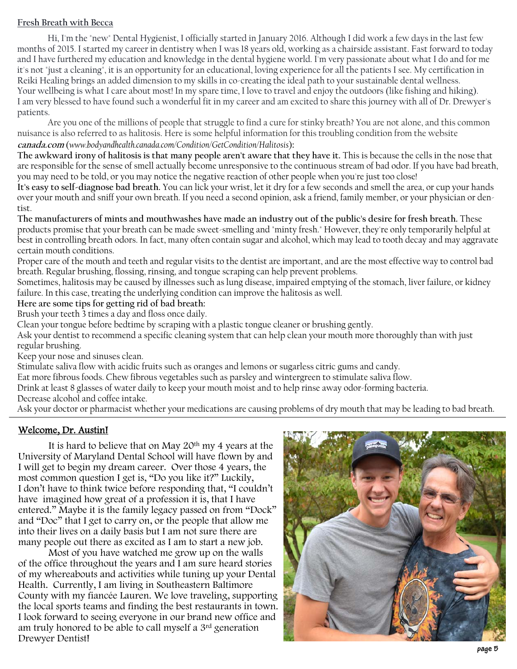## **Fresh Breath with Becca**

 Hi, I'm the "new" Dental Hygienist, I officially started in January 2016. Although I did work a few days in the last few months of 2015. I started my career in dentistry when I was 18 years old, working as a chairside assistant. Fast forward to today and I have furthered my education and knowledge in the dental hygiene world. I'm very passionate about what I do and for me it's not "just a cleaning", it is an opportunity for an educational, loving experience for all the patients I see. My certification in Reiki Healing brings an added dimension to my skills in co-creating the ideal path to your sustainable dental wellness. Your wellbeing is what I care about most! In my spare time, I love to travel and enjoy the outdoors (like fishing and hiking). I am very blessed to have found such a wonderful fit in my career and am excited to share this journey with all of Dr. Drewyer's patients.

Are you one of the millions of people that struggle to find a cure for stinky breath? You are not alone, and this common nuisance is also referred to as halitosis. Here is some helpful information for this troubling condition from the website **canada.com** (*www.bodyandhealth.canada.com/Condition/GetCondition/Halitosis*)**:** 

**The awkward irony of halitosis is that many people aren't aware that they have it.** This is because the cells in the nose that are responsible for the sense of smell actually become unresponsive to the continuous stream of bad odor. If you have bad breath, you may need to be told, or you may notice the negative reaction of other people when you're just too close!

**It's easy to self-diagnose bad breath.** You can lick your wrist, let it dry for a few seconds and smell the area, or cup your hands over your mouth and sniff your own breath. If you need a second opinion, ask a friend, family member, or your physician or dentist.

**The manufacturers of mints and mouthwashes have made an industry out of the public's desire for fresh breath.** These products promise that your breath can be made sweet-smelling and "minty fresh." However, they're only temporarily helpful at best in controlling breath odors. In fact, many often contain sugar and alcohol, which may lead to tooth decay and may aggravate certain mouth conditions.

Proper care of the mouth and teeth and regular visits to the dentist are important, and are the most effective way to control bad breath. Regular brushing, flossing, rinsing, and tongue scraping can help prevent problems.

Sometimes, halitosis may be caused by illnesses such as lung disease, impaired emptying of the stomach, liver failure, or kidney failure. In this case, treating the underlying condition can improve the halitosis as well.

### **Here are some tips for getting rid of bad breath:**

Brush your teeth 3 times a day and floss once daily.

Clean your tongue before bedtime by scraping with a plastic tongue cleaner or brushing gently.

Ask your dentist to recommend a specific cleaning system that can help clean your mouth more thoroughly than with just regular brushing.

Keep your nose and sinuses clean.

Stimulate saliva flow with acidic fruits such as oranges and lemons or sugarless citric gums and candy.

Eat more fibrous foods. Chew fibrous vegetables such as parsley and wintergreen to stimulate saliva flow.

Drink at least 8 glasses of water daily to keep your mouth moist and to help rinse away odor-forming bacteria. Decrease alcohol and coffee intake.

Ask your doctor or pharmacist whether your medications are causing problems of dry mouth that may be leading to bad breath.

# Welcome, Dr. Austin!

It is hard to believe that on May  $20<sup>th</sup>$  my 4 years at the University of Maryland Dental School will have flown by and I will get to begin my dream career. Over those 4 years, the most common question I get is, "Do you like it?" Luckily, I don't have to think twice before responding that, "I couldn't have imagined how great of a profession it is, that I have entered." Maybe it is the family legacy passed on from "Dock" and "Doc" that I get to carry on, or the people that allow me into their lives on a daily basis but I am not sure there are many people out there as excited as I am to start a new job.

 Most of you have watched me grow up on the walls of the office throughout the years and I am sure heard stories of my whereabouts and activities while tuning up your Dental Health. Currently, I am living in Southeastern Baltimore County with my fiancée Lauren. We love traveling, supporting the local sports teams and finding the best restaurants in town. I look forward to seeing everyone in our brand new office and am truly honored to be able to call myself a 3rd generation Drewyer Dentist!

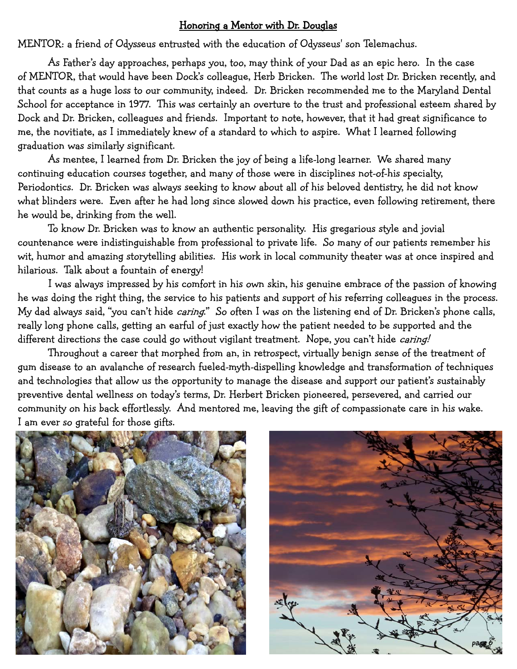# Honoring a Mentor with Dr. Douglas

MENTOR: a friend of Odysseus entrusted with the education of Odysseus' son Telemachus.

 As Father's day approaches, perhaps you, too, may think of your Dad as an epic hero. In the case of MENTOR, that would have been Dock's colleague, Herb Bricken. The world lost Dr. Bricken recently, and that counts as a huge loss to our community, indeed. Dr. Bricken recommended me to the Maryland Dental School for acceptance in 1977. This was certainly an overture to the trust and professional esteem shared by Dock and Dr. Bricken, colleagues and friends. Important to note, however, that it had great significance to me, the novitiate, as I immediately knew of a standard to which to aspire. What I learned following graduation was similarly significant.

 As mentee, I learned from Dr. Bricken the joy of being a life-long learner. We shared many continuing education courses together, and many of those were in disciplines not-of-his specialty, Periodontics. Dr. Bricken was always seeking to know about all of his beloved dentistry, he did not know what blinders were. Even after he had long since slowed down his practice, even following retirement, there he would be, drinking from the well.

 To know Dr. Bricken was to know an authentic personality. His gregarious style and jovial countenance were indistinguishable from professional to private life. So many of our patients remember his wit, humor and amazing storytelling abilities. His work in local community theater was at once inspired and hilarious. Talk about a fountain of energy!

 I was always impressed by his comfort in his own skin, his genuine embrace of the passion of knowing he was doing the right thing, the service to his patients and support of his referring colleagues in the process. My dad always said, "you can't hide *caring*." So often I was on the listening end of Dr. Bricken's phone calls, really long phone calls, getting an earful of just exactly how the patient needed to be supported and the different directions the case could go without vigilant treatment. Nope, you can't hide caring!

Throughout a career that morphed from an, in retrospect, virtually benign sense of the treatment of gum disease to an avalanche of research fueled-myth-dispelling knowledge and transformation of techniques and technologies that allow us the opportunity to manage the disease and support our patient's sustainably preventive dental wellness on today's terms, Dr. Herbert Bricken pioneered, persevered, and carried our community on his back effortlessly. And mentored me, leaving the gift of compassionate care in his wake. I am ever so grateful for those gifts.